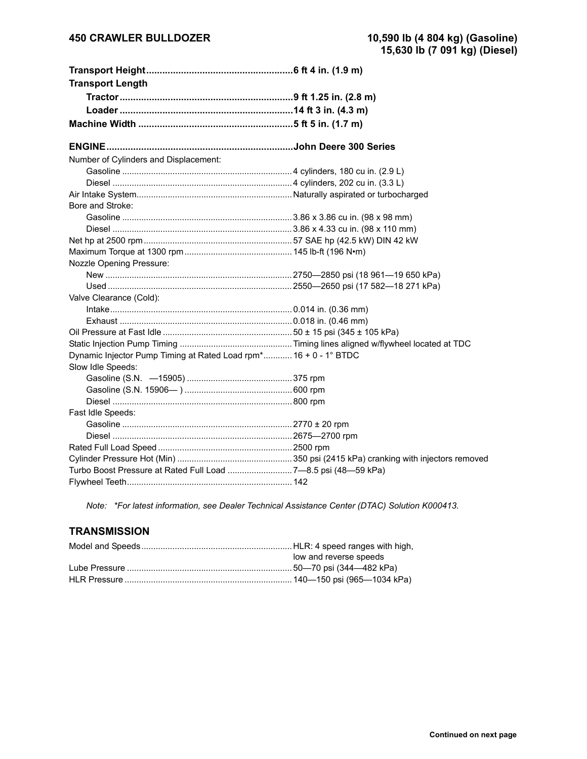| <b>Transport Length</b>                                          |  |
|------------------------------------------------------------------|--|
|                                                                  |  |
|                                                                  |  |
|                                                                  |  |
|                                                                  |  |
|                                                                  |  |
| Number of Cylinders and Displacement:                            |  |
|                                                                  |  |
|                                                                  |  |
|                                                                  |  |
| Bore and Stroke:                                                 |  |
|                                                                  |  |
|                                                                  |  |
|                                                                  |  |
|                                                                  |  |
| <b>Nozzle Opening Pressure:</b>                                  |  |
|                                                                  |  |
|                                                                  |  |
| Valve Clearance (Cold):                                          |  |
|                                                                  |  |
|                                                                  |  |
|                                                                  |  |
|                                                                  |  |
| Dynamic Injector Pump Timing at Rated Load rpm* 16 + 0 - 1° BTDC |  |
| Slow Idle Speeds:                                                |  |
|                                                                  |  |
|                                                                  |  |
|                                                                  |  |
| Fast Idle Speeds:                                                |  |
|                                                                  |  |
|                                                                  |  |
|                                                                  |  |
|                                                                  |  |
| Turbo Boost Pressure at Rated Full Load  7-8.5 psi (48-59 kPa)   |  |
|                                                                  |  |

*Note: \*For latest information, see Dealer Technical Assistance Center (DTAC) Solution K000413.*

## **TRANSMISSION**

| low and reverse speeds |
|------------------------|
|                        |
|                        |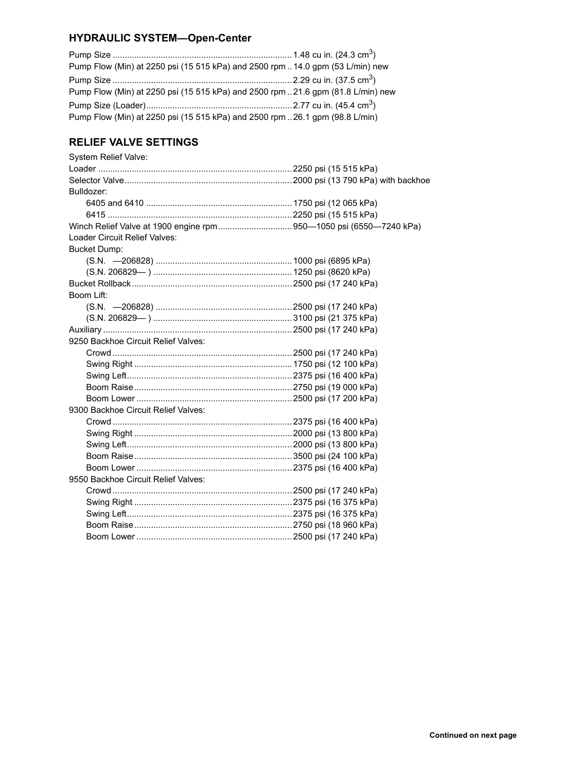## **HYDRAULIC SYSTEM-Open-Center**

| Pump Flow (Min) at 2250 psi (15 515 kPa) and 2500 rpm 14.0 gpm (53 L/min) new    |  |
|----------------------------------------------------------------------------------|--|
|                                                                                  |  |
| Pump Flow (Min) at 2250 psi (15 515 kPa) and 2500 rpm  21.6 gpm (81.8 L/min) new |  |
|                                                                                  |  |
| Pump Flow (Min) at 2250 psi (15 515 kPa) and 2500 rpm  26.1 gpm (98.8 L/min)     |  |

# **RELIEF VALVE SETTINGS**

| System Relief Valve:                |  |
|-------------------------------------|--|
|                                     |  |
|                                     |  |
| Bulldozer:                          |  |
|                                     |  |
|                                     |  |
|                                     |  |
| Loader Circuit Relief Valves:       |  |
| <b>Bucket Dump:</b>                 |  |
|                                     |  |
|                                     |  |
|                                     |  |
| Boom Lift:                          |  |
|                                     |  |
|                                     |  |
|                                     |  |
| 9250 Backhoe Circuit Relief Valves: |  |
|                                     |  |
|                                     |  |
|                                     |  |
|                                     |  |
|                                     |  |
| 9300 Backhoe Circuit Relief Valves: |  |
|                                     |  |
|                                     |  |
|                                     |  |
|                                     |  |
|                                     |  |
| 9550 Backhoe Circuit Relief Valves: |  |
|                                     |  |
|                                     |  |
|                                     |  |
|                                     |  |
|                                     |  |
|                                     |  |